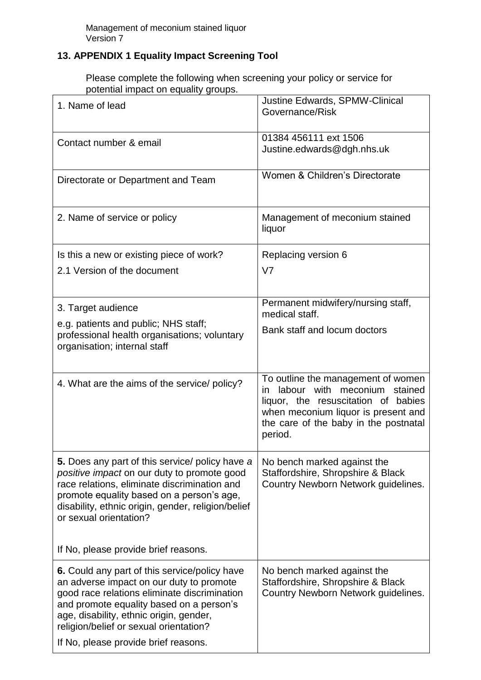## **13. APPENDIX 1 Equality Impact Screening Tool**

Please complete the following when screening your policy or service for potential impact on equality groups.

| 1. Name of lead                                                                                                                                                                                                                                                                                                    | Justine Edwards, SPMW-Clinical<br>Governance/Risk                                                                                                                                                              |
|--------------------------------------------------------------------------------------------------------------------------------------------------------------------------------------------------------------------------------------------------------------------------------------------------------------------|----------------------------------------------------------------------------------------------------------------------------------------------------------------------------------------------------------------|
| Contact number & email                                                                                                                                                                                                                                                                                             | 01384 456111 ext 1506<br>Justine.edwards@dgh.nhs.uk                                                                                                                                                            |
| Directorate or Department and Team                                                                                                                                                                                                                                                                                 | Women & Children's Directorate                                                                                                                                                                                 |
| 2. Name of service or policy                                                                                                                                                                                                                                                                                       | Management of meconium stained<br>liquor                                                                                                                                                                       |
| Is this a new or existing piece of work?<br>2.1 Version of the document                                                                                                                                                                                                                                            | Replacing version 6<br>V <sub>7</sub>                                                                                                                                                                          |
| 3. Target audience<br>e.g. patients and public; NHS staff;<br>professional health organisations; voluntary<br>organisation; internal staff                                                                                                                                                                         | Permanent midwifery/nursing staff,<br>medical staff.<br>Bank staff and locum doctors                                                                                                                           |
| 4. What are the aims of the service/ policy?                                                                                                                                                                                                                                                                       | To outline the management of women<br>labour with meconium<br>stained<br>in.<br>liquor, the resuscitation of babies<br>when meconium liquor is present and<br>the care of the baby in the postnatal<br>period. |
| <b>5.</b> Does any part of this service/ policy have a<br>positive impact on our duty to promote good<br>race relations, eliminate discrimination and<br>promote equality based on a person's age,<br>disability, ethnic origin, gender, religion/belief<br>or sexual orientation?                                 | No bench marked against the<br>Staffordshire, Shropshire & Black<br>Country Newborn Network guidelines.                                                                                                        |
| If No, please provide brief reasons.                                                                                                                                                                                                                                                                               |                                                                                                                                                                                                                |
| 6. Could any part of this service/policy have<br>an adverse impact on our duty to promote<br>good race relations eliminate discrimination<br>and promote equality based on a person's<br>age, disability, ethnic origin, gender,<br>religion/belief or sexual orientation?<br>If No, please provide brief reasons. | No bench marked against the<br>Staffordshire, Shropshire & Black<br>Country Newborn Network guidelines.                                                                                                        |